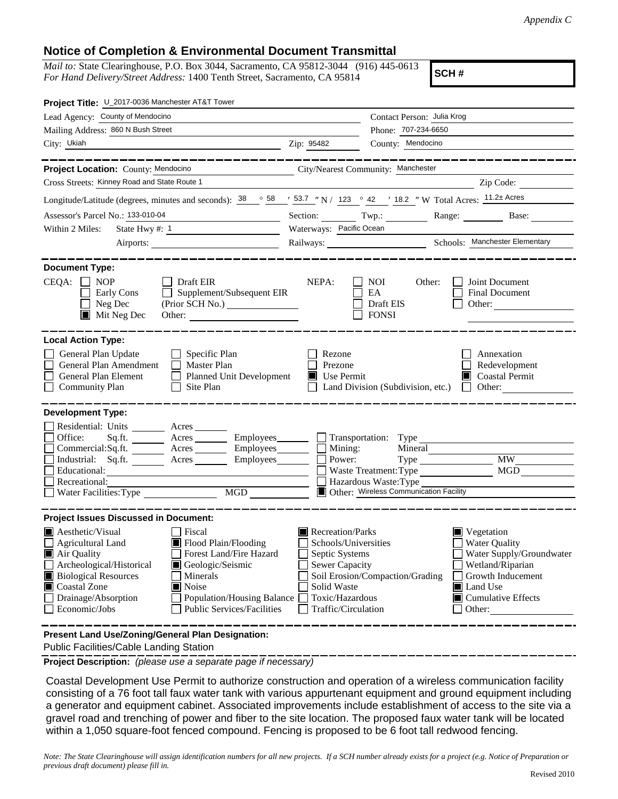## **Notice of Completion & Environmental Document Transmittal**

*Mail to:* State Clearinghouse, P.O. Box 3044, Sacramento, CA 95812-3044 (916) 445-0613 *For Hand Delivery/Street Address:* 1400 Tenth Street, Sacramento, CA 95814

**SCH #**

| Project Title: U_2017-0036 Manchester AT&T Tower                                                                                                                                                                                                                                                                                                                                      |                                                                                                                                              |                                                                                                               |                                                                                                                                                              |  |  |
|---------------------------------------------------------------------------------------------------------------------------------------------------------------------------------------------------------------------------------------------------------------------------------------------------------------------------------------------------------------------------------------|----------------------------------------------------------------------------------------------------------------------------------------------|---------------------------------------------------------------------------------------------------------------|--------------------------------------------------------------------------------------------------------------------------------------------------------------|--|--|
| Lead Agency: County of Mendocino                                                                                                                                                                                                                                                                                                                                                      |                                                                                                                                              | Contact Person: Julia Krog                                                                                    |                                                                                                                                                              |  |  |
| Mailing Address: 860 N Bush Street                                                                                                                                                                                                                                                                                                                                                    | Phone: 707-234-6650                                                                                                                          |                                                                                                               |                                                                                                                                                              |  |  |
| City: Ukiah                                                                                                                                                                                                                                                                                                                                                                           | Zip: 95482                                                                                                                                   | County: Mendocino                                                                                             |                                                                                                                                                              |  |  |
|                                                                                                                                                                                                                                                                                                                                                                                       |                                                                                                                                              |                                                                                                               |                                                                                                                                                              |  |  |
| Project Location: County: Mendocino<br>City/Nearest Community: Manchester                                                                                                                                                                                                                                                                                                             |                                                                                                                                              |                                                                                                               |                                                                                                                                                              |  |  |
| Cross Streets: Kinney Road and State Route 1                                                                                                                                                                                                                                                                                                                                          |                                                                                                                                              |                                                                                                               | Zip Code:                                                                                                                                                    |  |  |
| Longitude/Latitude (degrees, minutes and seconds): $\frac{38}{128}$ $\frac{58}{128}$ $\frac{1}{2}$ 53.7 "N / 123 $\degree$ 42 ' 18.2 " W Total Acres: $\frac{11.2\pm \text{Acres}}{11.2\pm \text{Acres}}$                                                                                                                                                                             |                                                                                                                                              |                                                                                                               |                                                                                                                                                              |  |  |
| Assessor's Parcel No.: 133-010-04<br>the control of the control of the control of                                                                                                                                                                                                                                                                                                     |                                                                                                                                              | Section: Twp.:                                                                                                | Range:<br>Base:                                                                                                                                              |  |  |
| State Hwy #: $1$<br>Within 2 Miles:                                                                                                                                                                                                                                                                                                                                                   | Waterways: Pacific Ocean                                                                                                                     |                                                                                                               |                                                                                                                                                              |  |  |
|                                                                                                                                                                                                                                                                                                                                                                                       |                                                                                                                                              |                                                                                                               |                                                                                                                                                              |  |  |
|                                                                                                                                                                                                                                                                                                                                                                                       |                                                                                                                                              |                                                                                                               |                                                                                                                                                              |  |  |
| <b>Document Type:</b>                                                                                                                                                                                                                                                                                                                                                                 |                                                                                                                                              |                                                                                                               |                                                                                                                                                              |  |  |
| $CEQA: \Box NP$<br>$\Box$ Draft EIR<br>Supplement/Subsequent EIR<br>Early Cons<br>Neg Dec<br>$\blacksquare$ Mit Neg Dec                                                                                                                                                                                                                                                               | NEPA:                                                                                                                                        | <b>NOI</b><br>Other:<br>EA<br>Draft EIS<br><b>FONSI</b>                                                       | Joint Document<br><b>Final Document</b><br>Other:                                                                                                            |  |  |
|                                                                                                                                                                                                                                                                                                                                                                                       |                                                                                                                                              |                                                                                                               |                                                                                                                                                              |  |  |
| <b>Local Action Type:</b><br>General Plan Update<br>$\Box$ Specific Plan<br>General Plan Amendment<br>$\Box$ Master Plan<br>General Plan Element<br>Planned Unit Development<br><b>Community Plan</b><br>Site Plan<br>$\Box$                                                                                                                                                          | Rezone<br>Prezone<br>$\blacksquare$ Use Permit                                                                                               | Land Division (Subdivision, etc.)                                                                             | Annexation<br>Redevelopment<br>Coastal Permit<br>$\Box$ Other:                                                                                               |  |  |
| <b>Development Type:</b>                                                                                                                                                                                                                                                                                                                                                              |                                                                                                                                              |                                                                                                               |                                                                                                                                                              |  |  |
| Residential: Units ________ Acres ______<br>Office:<br>Sq.ft. _________ Acres __________ Employees ________ __ Transportation: Type<br>Commercial:Sq.ft. ________ Acres _________ Employees _______ __ Mining:<br>Industrial: Sq.ft. _______ Acres _______ Employees ______ __<br>Educational:<br>Recreational:<br>Water Facilities: Type                                             |                                                                                                                                              | Mineral<br>Power:<br>Waste Treatment: Type<br>Hazardous Waste: Type<br>Other: Wireless Communication Facility | <b>MW</b><br>MGD                                                                                                                                             |  |  |
| <b>Project Issues Discussed in Document:</b>                                                                                                                                                                                                                                                                                                                                          |                                                                                                                                              |                                                                                                               |                                                                                                                                                              |  |  |
| $\blacksquare$ Aesthetic/Visual<br>Fiscal<br>Flood Plain/Flooding<br><b>Agricultural Land</b><br>Forest Land/Fire Hazard<br>Air Quality<br>Archeological/Historical<br>Geologic/Seismic<br><b>Biological Resources</b><br>Minerals<br>Coastal Zone<br>$\blacksquare$ Noise<br>Drainage/Absorption<br>Population/Housing Balance<br>Economic/Jobs<br><b>Public Services/Facilities</b> | Recreation/Parks<br>Schools/Universities<br>Septic Systems<br><b>Sewer Capacity</b><br>Solid Waste<br>Toxic/Hazardous<br>Traffic/Circulation | Soil Erosion/Compaction/Grading                                                                               | Vegetation<br><b>Water Quality</b><br>Water Supply/Groundwater<br>Wetland/Riparian<br>Growth Inducement<br><b>■</b> Land Use<br>Cumulative Effects<br>Other: |  |  |
| Present Land Use/Zoning/General Plan Designation:                                                                                                                                                                                                                                                                                                                                     |                                                                                                                                              |                                                                                                               |                                                                                                                                                              |  |  |

Public Facilities/Cable Landing Station

**Project Description:** *(please use a separate page if necessary)*

 Coastal Development Use Permit to authorize construction and operation of a wireless communication facility consisting of a 76 foot tall faux water tank with various appurtenant equipment and ground equipment including a generator and equipment cabinet. Associated improvements include establishment of access to the site via a gravel road and trenching of power and fiber to the site location. The proposed faux water tank will be located within a 1,050 square-foot fenced compound. Fencing is proposed to be 6 foot tall redwood fencing.

*Note: The State Clearinghouse will assign identification numbers for all new projects. If a SCH number already exists for a project (e.g. Notice of Preparation or previous draft document) please fill in.*